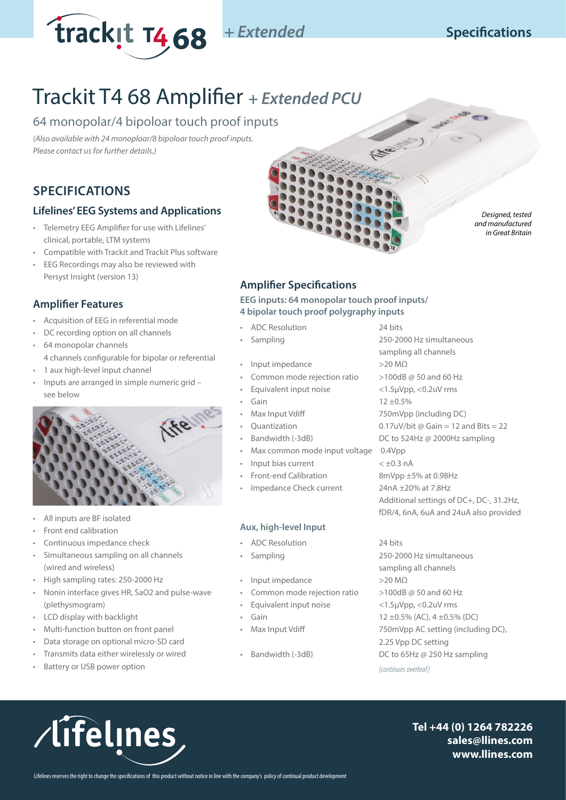

# **Specifications**

*Designed, tested and manufactured in Great Britain*

# Trackit T4 68 Amplifier *+ Extended PCU*

# 64 monopolar/4 bipoloar touch proof inputs

*(Also available with 24 monoploar/8 bipoloar touch proof inputs. Please contact us for further details.)*

# **SPECIFICATIONS**

# **Lifelines' EEG Systems and Applications**

- Telemetry EEG Amplifier for use with Lifelines' clinical, portable, LTM systems
- Compatible with Trackit and Trackit Plus software
- EEG Recordings may also be reviewed with Persyst Insight (version 13)

# **Amplifier Features**

- Acquisition of EEG in referential mode
- DC recording option on all channels
- 64 monopolar channels 4 channels configurable for bipolar or referential
- 1 aux high-level input channel
- Inputs are arranged in simple numeric grid see below



- All inputs are BF isolated
- Front end calibration
- Continuous impedance check
- Simultaneous sampling on all channels (wired and wireless)
- High sampling rates: 250-2000 Hz
- Nonin interface gives HR, SaO2 and pulse-wave (plethysmogram)
- LCD display with backlight
- Multi-function button on front panel
- Data storage on optional micro-SD card
- Transmits data either wirelessly or wired
- Battery or USB power option

# **Amplifier Specifications**

## **EEG inputs: 64 monopolar touch proof inputs/ 4 bipolar touch proof polygraphy inputs**

- ADC Resolution 24 bits
- 
- Input impedance >20 MΩ
- Common mode rejection ratio >100dB @ 50 and 60 Hz
- Equivalent input noise <1.5µVpp, <0.2uV rms
- 
- 
- 
- 
- Max common mode input voltage 0.4Vpp
- Input bias current  $\lt \pm 0.3$  nA
- 
- Impedance Check current 24nA ±20% at 7.8Hz

# **Aux, high-level Input**

- ADC Resolution 24 bits
- 
- Input impedance >20 MΩ
- Common mode rejection ratio  $>100$ dB @ 50 and 60 Hz
- Equivalent input noise <1.5µVpp, <0.2uV rms
- 
- 
- 

• Sampling 250-2000 Hz simultaneous sampling all channels Gain 12 ±0.5% • Max Input Vdiff 750mVpp (including DC) Quantization  $0.17uV/b$ it @ Gain = 12 and Bits = 22 • Bandwidth (-3dB) DC to 524Hz @ 2000Hz sampling • Front-end Calibration 8mVpp ±5% at 0.98Hz Additional settings of DC+, DC-, 31.2Hz, fDR/4, 6nA, 6uA and 24uA also provided

• Sampling 250-2000 Hz simultaneous sampling all channels • Gain 12 ±0.5% (AC), 4 ±0.5% (DC) • Max Input Vdiff 750mVpp AC setting (including DC), 2.25 Vpp DC setting • Bandwidth (-3dB) DC to 65Hz @ 250 Hz sampling *(continues overleaf)*



**Tel +44 (0) 1264 782226 sales@llines.com www.llines.com**